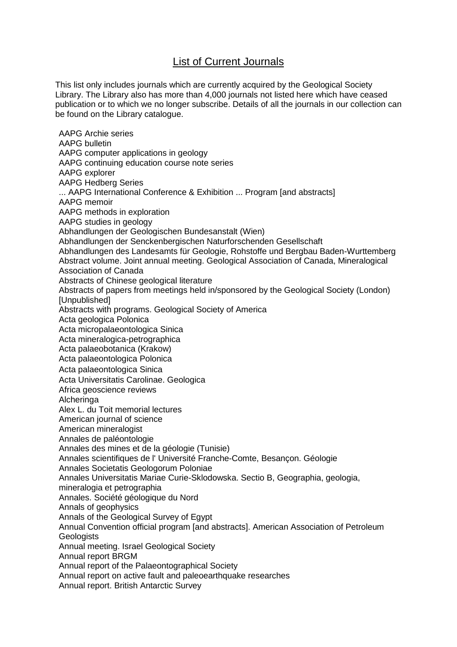## **List of Current Journals**

This list only includes journals which are currently acquired by the Geological Society Library. The Library also has more than 4,000 journals not listed here which have ceased publication or to which we no longer subscribe. Details of all the journals in our collection can be found on the Library catalogue.

AAPG Archie series AAPG bulletin AAPG computer applications in geology AAPG continuing education course note series AAPG explorer AAPG Hedberg Series ... AAPG International Conference & Exhibition ... Program [and abstracts] AAPG memoir AAPG methods in exploration AAPG studies in geology Abhandlungen der Geologischen Bundesanstalt (Wien) Abhandlungen der Senckenbergischen Naturforschenden Gesellschaft Abhandlungen des Landesamts für Geologie, Rohstoffe und Bergbau Baden-Wurttemberg Abstract volume. Joint annual meeting. Geological Association of Canada, Mineralogical Association of Canada Abstracts of Chinese geological literature Abstracts of papers from meetings held in/sponsored by the Geological Society (London) [Unpublished] Abstracts with programs. Geological Society of America Acta geologica Polonica Acta micropalaeontologica Sinica Acta mineralogica-petrographica Acta palaeobotanica (Krakow) Acta palaeontologica Polonica Acta palaeontologica Sinica Acta Universitatis Carolinae. Geologica Africa geoscience reviews Alcheringa Alex L. du Toit memorial lectures American journal of science American mineralogist Annales de paléontologie Annales des mines et de la géologie (Tunisie) Annales scientifiques de l' Université Franche-Comte, Besançon. Géologie Annales Societatis Geologorum Poloniae Annales Universitatis Mariae Curie-Sklodowska. Sectio B, Geographia, geologia, mineralogia et petrographia Annales. Société géologique du Nord Annals of geophysics Annals of the Geological Survey of Egypt Annual Convention official program [and abstracts]. American Association of Petroleum **Geologists** Annual meeting. Israel Geological Society Annual report BRGM Annual report of the Palaeontographical Society Annual report on active fault and paleoearthquake researches Annual report. British Antarctic Survey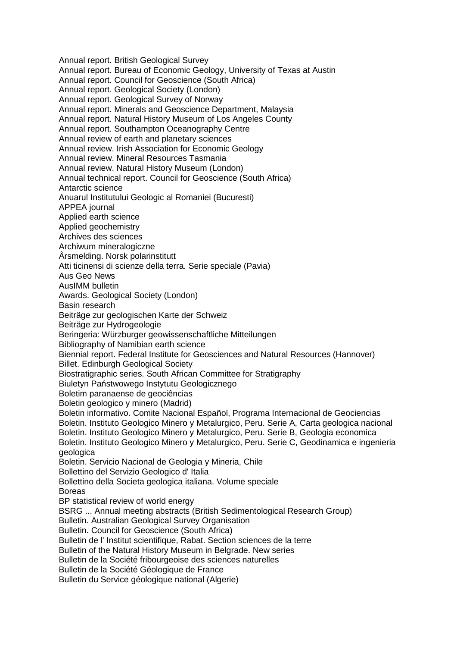Annual report. British Geological Survey Annual report. Bureau of Economic Geology, University of Texas at Austin Annual report. Council for Geoscience (South Africa) Annual report. Geological Society (London) Annual report. Geological Survey of Norway Annual report. Minerals and Geoscience Department, Malaysia Annual report. Natural History Museum of Los Angeles County Annual report. Southampton Oceanography Centre Annual review of earth and planetary sciences Annual review. Irish Association for Economic Geology Annual review. Mineral Resources Tasmania Annual review. Natural History Museum (London) Annual technical report. Council for Geoscience (South Africa) Antarctic science Anuarul Institutului Geologic al Romaniei (Bucuresti) APPEA journal Applied earth science Applied geochemistry Archives des sciences Archiwum mineralogiczne Årsmelding. Norsk polarinstitutt Atti ticinensi di scienze della terra. Serie speciale (Pavia) Aus Geo News AusIMM bulletin Awards. Geological Society (London) Basin research Beiträge zur geologischen Karte der Schweiz Beiträge zur Hydrogeologie Beringeria: Würzburger geowissenschaftliche Mitteilungen Bibliography of Namibian earth science Biennial report. Federal Institute for Geosciences and Natural Resources (Hannover) Billet. Edinburgh Geological Society Biostratigraphic series. South African Committee for Stratigraphy Biuletyn Państwowego Instytutu Geologicznego Boletim paranaense de geociências Boletin geologico y minero (Madrid) Boletin informativo. Comite Nacional Español, Programa Internacional de Geociencias Boletin. Instituto Geologico Minero y Metalurgico, Peru. Serie A, Carta geologica nacional Boletin. Instituto Geologico Minero y Metalurgico, Peru. Serie B, Geologia economica Boletin. Instituto Geologico Minero y Metalurgico, Peru. Serie C, Geodinamica e ingenieria geologica Boletin. Servicio Nacional de Geologia y Mineria, Chile Bollettino del Servizio Geologico d' Italia Bollettino della Societa geologica italiana. Volume speciale Boreas BP statistical review of world energy BSRG ... Annual meeting abstracts (British Sedimentological Research Group) Bulletin. Australian Geological Survey Organisation Bulletin. Council for Geoscience (South Africa) Bulletin de l' Institut scientifique, Rabat. Section sciences de la terre Bulletin of the Natural History Museum in Belgrade. New series Bulletin de la Société fribourgeoise des sciences naturelles Bulletin de la Société Géologique de France Bulletin du Service géologique national (Algerie)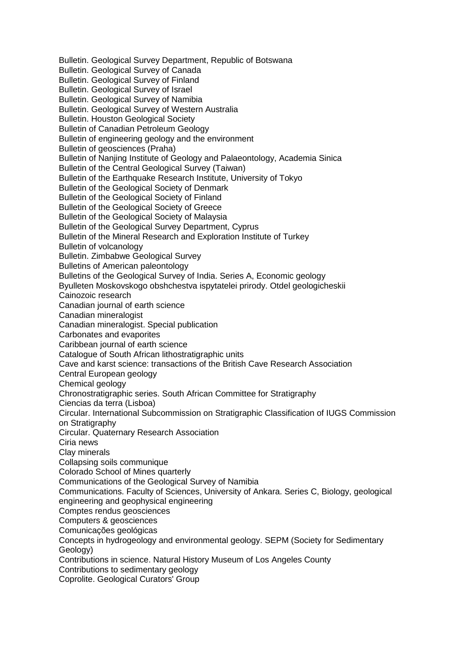Bulletin. Geological Survey Department, Republic of Botswana Bulletin. Geological Survey of Canada Bulletin. Geological Survey of Finland Bulletin. Geological Survey of Israel Bulletin. Geological Survey of Namibia Bulletin. Geological Survey of Western Australia Bulletin. Houston Geological Society Bulletin of Canadian Petroleum Geology Bulletin of engineering geology and the environment Bulletin of geosciences (Praha) Bulletin of Nanjing Institute of Geology and Palaeontology, Academia Sinica Bulletin of the Central Geological Survey (Taiwan) Bulletin of the Earthquake Research Institute, University of Tokyo Bulletin of the Geological Society of Denmark Bulletin of the Geological Society of Finland Bulletin of the Geological Society of Greece Bulletin of the Geological Society of Malaysia Bulletin of the Geological Survey Department, Cyprus Bulletin of the Mineral Research and Exploration Institute of Turkey Bulletin of volcanology Bulletin. Zimbabwe Geological Survey Bulletins of American paleontology Bulletins of the Geological Survey of India. Series A, Economic geology Byulleten Moskovskogo obshchestva ispytatelei prirody. Otdel geologicheskii Cainozoic research Canadian journal of earth science Canadian mineralogist Canadian mineralogist. Special publication Carbonates and evaporites Caribbean journal of earth science Catalogue of South African lithostratigraphic units Cave and karst science: transactions of the British Cave Research Association Central European geology Chemical geology Chronostratigraphic series. South African Committee for Stratigraphy Ciencias da terra (Lisboa) Circular. International Subcommission on Stratigraphic Classification of IUGS Commission on Stratigraphy Circular. Quaternary Research Association Ciria news Clay minerals Collapsing soils communique Colorado School of Mines quarterly Communications of the Geological Survey of Namibia Communications. Faculty of Sciences, University of Ankara. Series C, Biology, geological engineering and geophysical engineering Comptes rendus geosciences Computers & geosciences Comunicações geológicas Concepts in hydrogeology and environmental geology. SEPM (Society for Sedimentary Geology) Contributions in science. Natural History Museum of Los Angeles County Contributions to sedimentary geology Coprolite. Geological Curators' Group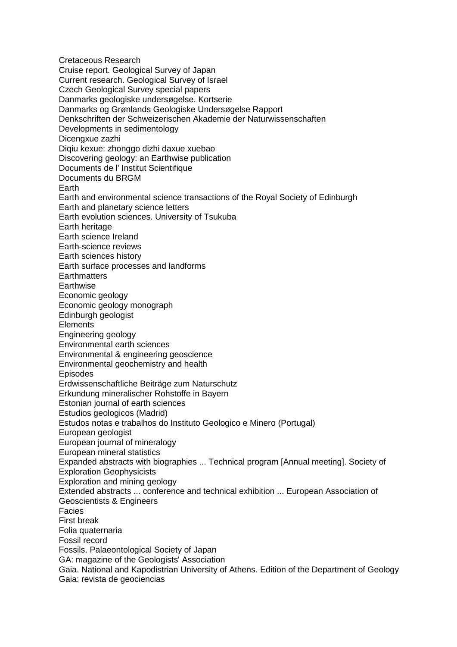Cretaceous Research Cruise report. Geological Survey of Japan Current research. Geological Survey of Israel Czech Geological Survey special papers Danmarks geologiske undersøgelse. Kortserie Danmarks og Grønlands Geologiske Undersøgelse Rapport Denkschriften der Schweizerischen Akademie der Naturwissenschaften Developments in sedimentology Dicengxue zazhi Diqiu kexue: zhonggo dizhi daxue xuebao Discovering geology: an Earthwise publication Documents de l' Institut Scientifique Documents du BRGM Earth Earth and environmental science transactions of the Royal Society of Edinburgh Earth and planetary science letters Earth evolution sciences. University of Tsukuba Earth heritage Earth science Ireland Earth-science reviews Earth sciences history Earth surface processes and landforms **Earthmatters Earthwise** Economic geology Economic geology monograph Edinburgh geologist **Elements** Engineering geology Environmental earth sciences Environmental & engineering geoscience Environmental geochemistry and health Episodes Erdwissenschaftliche Beiträge zum Naturschutz Erkundung mineralischer Rohstoffe in Bayern Estonian journal of earth sciences Estudios geologicos (Madrid) Estudos notas e trabalhos do Instituto Geologico e Minero (Portugal) European geologist European journal of mineralogy European mineral statistics Expanded abstracts with biographies ... Technical program [Annual meeting]. Society of Exploration Geophysicists Exploration and mining geology Extended abstracts ... conference and technical exhibition ... European Association of Geoscientists & Engineers Facies First break Folia quaternaria Fossil record Fossils. Palaeontological Society of Japan GA: magazine of the Geologists' Association Gaia. National and Kapodistrian University of Athens. Edition of the Department of Geology Gaia: revista de geociencias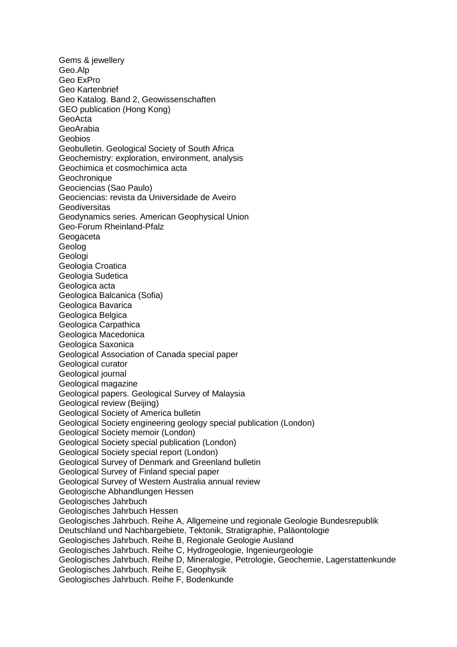Gems & jewellery Geo.Alp Geo ExPro Geo Kartenbrief Geo Katalog. Band 2, Geowissenschaften GEO publication (Hong Kong) GeoActa GeoArabia Geobios Geobulletin. Geological Society of South Africa Geochemistry: exploration, environment, analysis Geochimica et cosmochimica acta Geochronique Geociencias (Sao Paulo) Geociencias: revista da Universidade de Aveiro **Geodiversitas** Geodynamics series. American Geophysical Union Geo-Forum Rheinland-Pfalz Geogaceta Geolog Geologi Geologia Croatica Geologia Sudetica Geologica acta Geologica Balcanica (Sofia) Geologica Bavarica Geologica Belgica Geologica Carpathica Geologica Macedonica Geologica Saxonica Geological Association of Canada special paper Geological curator Geological journal Geological magazine Geological papers. Geological Survey of Malaysia Geological review (Beijing) Geological Society of America bulletin Geological Society engineering geology special publication (London) Geological Society memoir (London) Geological Society special publication (London) Geological Society special report (London) Geological Survey of Denmark and Greenland bulletin Geological Survey of Finland special paper Geological Survey of Western Australia annual review Geologische Abhandlungen Hessen Geologisches Jahrbuch Geologisches Jahrbuch Hessen Geologisches Jahrbuch. Reihe A, Allgemeine und regionale Geologie Bundesrepublik Deutschland und Nachbargebiete, Tektonik, Stratigraphie, Paläontologie Geologisches Jahrbuch. Reihe B, Regionale Geologie Ausland Geologisches Jahrbuch. Reihe C, Hydrogeologie, Ingenieurgeologie Geologisches Jahrbuch. Reihe D, Mineralogie, Petrologie, Geochemie, Lagerstattenkunde Geologisches Jahrbuch. Reihe E, Geophysik Geologisches Jahrbuch. Reihe F, Bodenkunde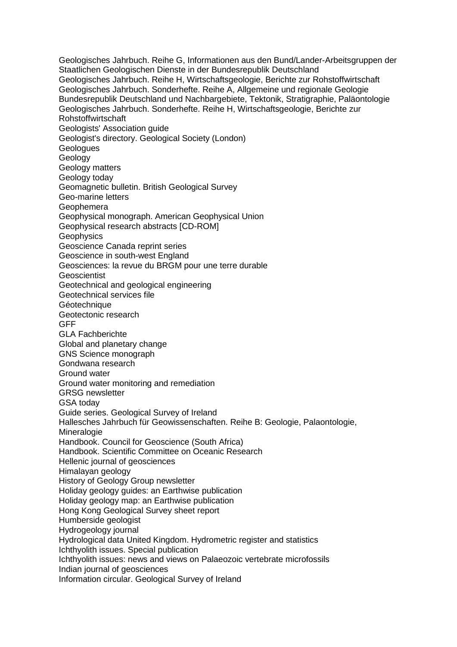Geologisches Jahrbuch. Reihe G, Informationen aus den Bund/Lander-Arbeitsgruppen der Staatlichen Geologischen Dienste in der Bundesrepublik Deutschland Geologisches Jahrbuch. Reihe H, Wirtschaftsgeologie, Berichte zur Rohstoffwirtschaft Geologisches Jahrbuch. Sonderhefte. Reihe A, Allgemeine und regionale Geologie Bundesrepublik Deutschland und Nachbargebiete, Tektonik, Stratigraphie, Paläontologie Geologisches Jahrbuch. Sonderhefte. Reihe H, Wirtschaftsgeologie, Berichte zur Rohstoffwirtschaft Geologists' Association guide Geologist's directory. Geological Society (London) **Geologues** Geology Geology matters Geology today Geomagnetic bulletin. British Geological Survey Geo-marine letters Geophemera Geophysical monograph. American Geophysical Union Geophysical research abstracts [CD-ROM] **Geophysics** Geoscience Canada reprint series Geoscience in south-west England Geosciences: la revue du BRGM pour une terre durable **Geoscientist** Geotechnical and geological engineering Geotechnical services file **Géotechnique** Geotectonic research GFF GLA Fachberichte Global and planetary change GNS Science monograph Gondwana research Ground water Ground water monitoring and remediation GRSG newsletter GSA today Guide series. Geological Survey of Ireland Hallesches Jahrbuch für Geowissenschaften. Reihe B: Geologie, Palaontologie, Mineralogie Handbook. Council for Geoscience (South Africa) Handbook. Scientific Committee on Oceanic Research Hellenic journal of geosciences Himalayan geology History of Geology Group newsletter Holiday geology guides: an Earthwise publication Holiday geology map: an Earthwise publication Hong Kong Geological Survey sheet report Humberside geologist Hydrogeology journal Hydrological data United Kingdom. Hydrometric register and statistics Ichthyolith issues. Special publication Ichthyolith issues: news and views on Palaeozoic vertebrate microfossils Indian journal of geosciences Information circular. Geological Survey of Ireland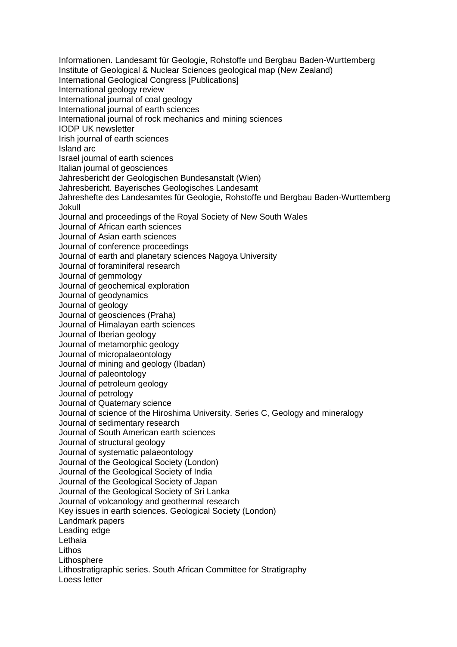Informationen. Landesamt für Geologie, Rohstoffe und Bergbau Baden-Wurttemberg Institute of Geological & Nuclear Sciences geological map (New Zealand) International Geological Congress [Publications] International geology review International journal of coal geology International journal of earth sciences International journal of rock mechanics and mining sciences IODP UK newsletter Irish journal of earth sciences Island arc Israel journal of earth sciences Italian journal of geosciences Jahresbericht der Geologischen Bundesanstalt (Wien) Jahresbericht. Bayerisches Geologisches Landesamt Jahreshefte des Landesamtes für Geologie, Rohstoffe und Bergbau Baden-Wurttemberg Jokull Journal and proceedings of the Royal Society of New South Wales Journal of African earth sciences Journal of Asian earth sciences Journal of conference proceedings Journal of earth and planetary sciences Nagoya University Journal of foraminiferal research Journal of gemmology Journal of geochemical exploration Journal of geodynamics Journal of geology Journal of geosciences (Praha) Journal of Himalayan earth sciences Journal of Iberian geology Journal of metamorphic geology Journal of micropalaeontology Journal of mining and geology (Ibadan) Journal of paleontology Journal of petroleum geology Journal of petrology Journal of Quaternary science Journal of science of the Hiroshima University. Series C, Geology and mineralogy Journal of sedimentary research Journal of South American earth sciences Journal of structural geology Journal of systematic palaeontology Journal of the Geological Society (London) Journal of the Geological Society of India Journal of the Geological Society of Japan Journal of the Geological Society of Sri Lanka Journal of volcanology and geothermal research Key issues in earth sciences. Geological Society (London) Landmark papers Leading edge Lethaia Lithos **Lithosphere** Lithostratigraphic series. South African Committee for Stratigraphy Loess letter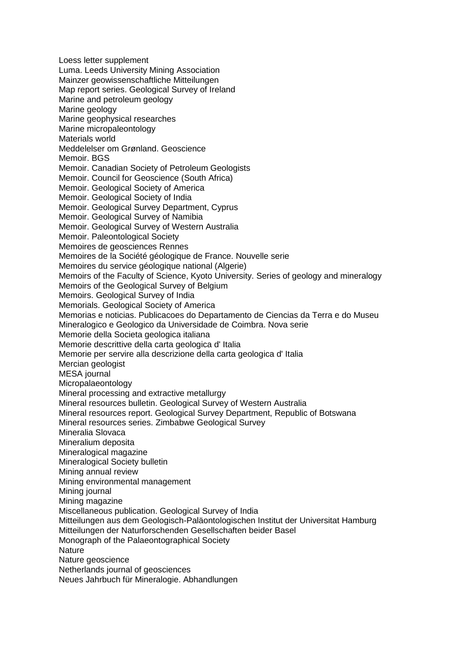Loess letter supplement Luma. Leeds University Mining Association Mainzer geowissenschaftliche Mitteilungen Map report series. Geological Survey of Ireland Marine and petroleum geology Marine geology Marine geophysical researches Marine micropaleontology Materials world Meddelelser om Grønland. Geoscience Memoir. BGS Memoir. Canadian Society of Petroleum Geologists Memoir. Council for Geoscience (South Africa) Memoir. Geological Society of America Memoir. Geological Society of India Memoir. Geological Survey Department, Cyprus Memoir. Geological Survey of Namibia Memoir. Geological Survey of Western Australia Memoir. Paleontological Society Memoires de geosciences Rennes Memoires de la Société géologique de France. Nouvelle serie Memoires du service géologique national (Algerie) Memoirs of the Faculty of Science, Kyoto University. Series of geology and mineralogy Memoirs of the Geological Survey of Belgium Memoirs. Geological Survey of India Memorials. Geological Society of America Memorias e noticias. Publicacoes do Departamento de Ciencias da Terra e do Museu Mineralogico e Geologico da Universidade de Coimbra. Nova serie Memorie della Societa geologica italiana Memorie descrittive della carta geologica d' Italia Memorie per servire alla descrizione della carta geologica d' Italia Mercian geologist MESA journal Micropalaeontology Mineral processing and extractive metallurgy Mineral resources bulletin. Geological Survey of Western Australia Mineral resources report. Geological Survey Department, Republic of Botswana Mineral resources series. Zimbabwe Geological Survey Mineralia Slovaca Mineralium deposita Mineralogical magazine Mineralogical Society bulletin Mining annual review Mining environmental management Mining journal Mining magazine Miscellaneous publication. Geological Survey of India Mitteilungen aus dem Geologisch-Paläontologischen Institut der Universitat Hamburg Mitteilungen der Naturforschenden Gesellschaften beider Basel Monograph of the Palaeontographical Society **Nature** Nature geoscience Netherlands journal of geosciences Neues Jahrbuch für Mineralogie. Abhandlungen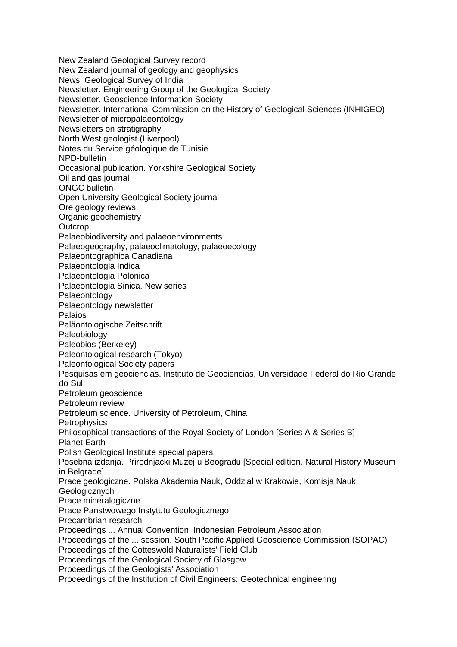New Zealand Geological Survey record New Zealand journal of geology and geophysics News. Geological Survey of India Newsletter. Engineering Group of the Geological Society Newsletter. Geoscience Information Society Newsletter. International Commission on the History of Geological Sciences (INHIGEO) Newsletter of micropalaeontology Newsletters on stratigraphy North West geologist (Liverpool) Notes du Service géologique de Tunisie NPD-bulletin Occasional publication. Yorkshire Geological Society Oil and gas journal ONGC bulletin Open University Geological Society journal Ore geology reviews Organic geochemistry **Outcrop** Palaeobiodiversity and palaeoenvironments Palaeogeography, palaeoclimatology, palaeoecology Palaeontographica Canadiana Palaeontologia Indica Palaeontologia Polonica Palaeontologia Sinica. New series Palaeontology Palaeontology newsletter Palaios Paläontologische Zeitschrift Paleobiology Paleobios (Berkeley) Paleontological research (Tokyo) Paleontological Society papers Pesquisas em geociencias. Instituto de Geociencias, Universidade Federal do Rio Grande do Sul Petroleum geoscience Petroleum review Petroleum science. University of Petroleum, China **Petrophysics** Philosophical transactions of the Royal Society of London [Series A & Series B] Planet Earth Polish Geological Institute special papers Posebna izdanja. Prirodnjacki Muzej u Beogradu [Special edition. Natural History Museum in Belgrade] Prace geologiczne. Polska Akademia Nauk, Oddzial w Krakowie, Komisja Nauk Geologicznych Prace mineralogiczne Prace Panstwowego Instytutu Geologicznego Precambrian research Proceedings ... Annual Convention. Indonesian Petroleum Association Proceedings of the ... session. South Pacific Applied Geoscience Commission (SOPAC) Proceedings of the Cotteswold Naturalists' Field Club Proceedings of the Geological Society of Glasgow Proceedings of the Geologists' Association Proceedings of the Institution of Civil Engineers: Geotechnical engineering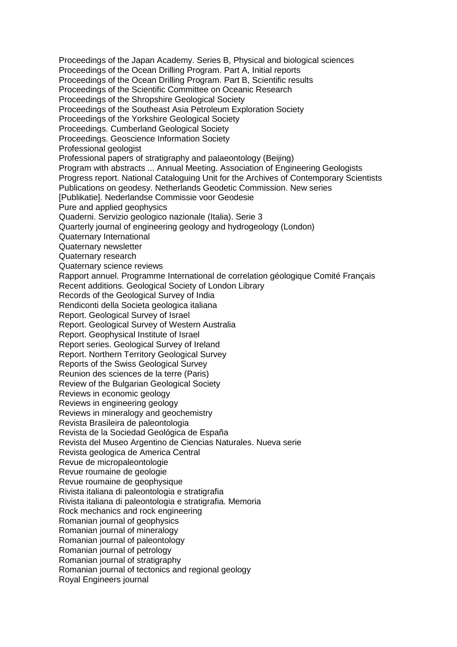Proceedings of the Japan Academy. Series B, Physical and biological sciences Proceedings of the Ocean Drilling Program. Part A, Initial reports Proceedings of the Ocean Drilling Program. Part B, Scientific results Proceedings of the Scientific Committee on Oceanic Research Proceedings of the Shropshire Geological Society Proceedings of the Southeast Asia Petroleum Exploration Society Proceedings of the Yorkshire Geological Society Proceedings. Cumberland Geological Society Proceedings. Geoscience Information Society Professional geologist Professional papers of stratigraphy and palaeontology (Beijing) Program with abstracts ... Annual Meeting. Association of Engineering Geologists Progress report. National Cataloguing Unit for the Archives of Contemporary Scientists Publications on geodesy. Netherlands Geodetic Commission. New series [Publikatie]. Nederlandse Commissie voor Geodesie Pure and applied geophysics Quaderni. Servizio geologico nazionale (Italia). Serie 3 Quarterly journal of engineering geology and hydrogeology (London) Quaternary International Quaternary newsletter Quaternary research Quaternary science reviews Rapport annuel. Programme International de correlation géologique Comité Français Recent additions. Geological Society of London Library Records of the Geological Survey of India Rendiconti della Societa geologica italiana Report. Geological Survey of Israel Report. Geological Survey of Western Australia Report. Geophysical Institute of Israel Report series. Geological Survey of Ireland Report. Northern Territory Geological Survey Reports of the Swiss Geological Survey Reunion des sciences de la terre (Paris) Review of the Bulgarian Geological Society Reviews in economic geology Reviews in engineering geology Reviews in mineralogy and geochemistry Revista Brasileira de paleontologia Revista de la Sociedad Geológica de España Revista del Museo Argentino de Ciencias Naturales. Nueva serie Revista geologica de America Central Revue de micropaleontologie Revue roumaine de geologie Revue roumaine de geophysique Rivista italiana di paleontologia e stratigrafia Rivista italiana di paleontologia e stratigrafia. Memoria Rock mechanics and rock engineering Romanian journal of geophysics Romanian journal of mineralogy Romanian journal of paleontology Romanian journal of petrology Romanian journal of stratigraphy Romanian journal of tectonics and regional geology Royal Engineers journal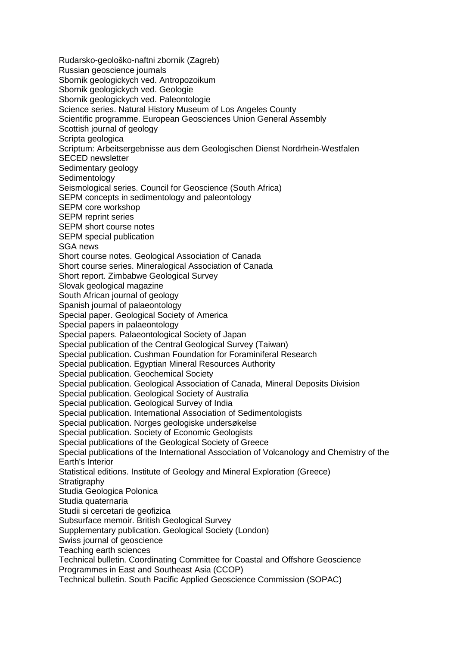Rudarsko-geološko-naftni zbornik (Zagreb) Russian geoscience journals Sbornik geologickych ved. Antropozoikum Sbornik geologickych ved. Geologie Sbornik geologickych ved. Paleontologie Science series. Natural History Museum of Los Angeles County Scientific programme. European Geosciences Union General Assembly Scottish journal of geology Scripta geologica Scriptum: Arbeitsergebnisse aus dem Geologischen Dienst Nordrhein-Westfalen SECED newsletter Sedimentary geology Sedimentology Seismological series. Council for Geoscience (South Africa) SEPM concepts in sedimentology and paleontology SEPM core workshop SEPM reprint series SEPM short course notes SEPM special publication SGA news Short course notes. Geological Association of Canada Short course series. Mineralogical Association of Canada Short report. Zimbabwe Geological Survey Slovak geological magazine South African journal of geology Spanish journal of palaeontology Special paper. Geological Society of America Special papers in palaeontology Special papers. Palaeontological Society of Japan Special publication of the Central Geological Survey (Taiwan) Special publication. Cushman Foundation for Foraminiferal Research Special publication. Egyptian Mineral Resources Authority Special publication. Geochemical Society Special publication. Geological Association of Canada, Mineral Deposits Division Special publication. Geological Society of Australia Special publication. Geological Survey of India Special publication. International Association of Sedimentologists Special publication. Norges geologiske undersøkelse Special publication. Society of Economic Geologists Special publications of the Geological Society of Greece Special publications of the International Association of Volcanology and Chemistry of the Earth's Interior Statistical editions. Institute of Geology and Mineral Exploration (Greece) **Stratigraphy** Studia Geologica Polonica Studia quaternaria Studii si cercetari de geofizica Subsurface memoir. British Geological Survey Supplementary publication. Geological Society (London) Swiss journal of geoscience Teaching earth sciences Technical bulletin. Coordinating Committee for Coastal and Offshore Geoscience Programmes in East and Southeast Asia (CCOP) Technical bulletin. South Pacific Applied Geoscience Commission (SOPAC)